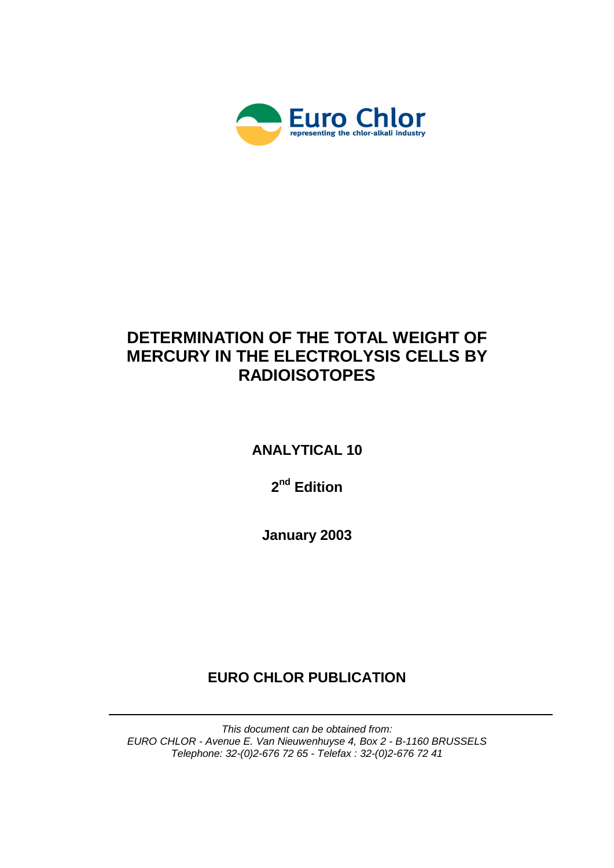

# **DETERMINATION OF THE TOTAL WEIGHT OF MERCURY IN THE ELECTROLYSIS CELLS BY RADIOISOTOPES**

**ANALYTICAL 10**

**2 nd Edition**

**January 2003**

# **EURO CHLOR PUBLICATION**

*This document can be obtained from: EURO CHLOR - Avenue E. Van Nieuwenhuyse 4, Box 2 - B-1160 BRUSSELS Telephone: 32-(0)2-676 72 65 - Telefax : 32-(0)2-676 72 41*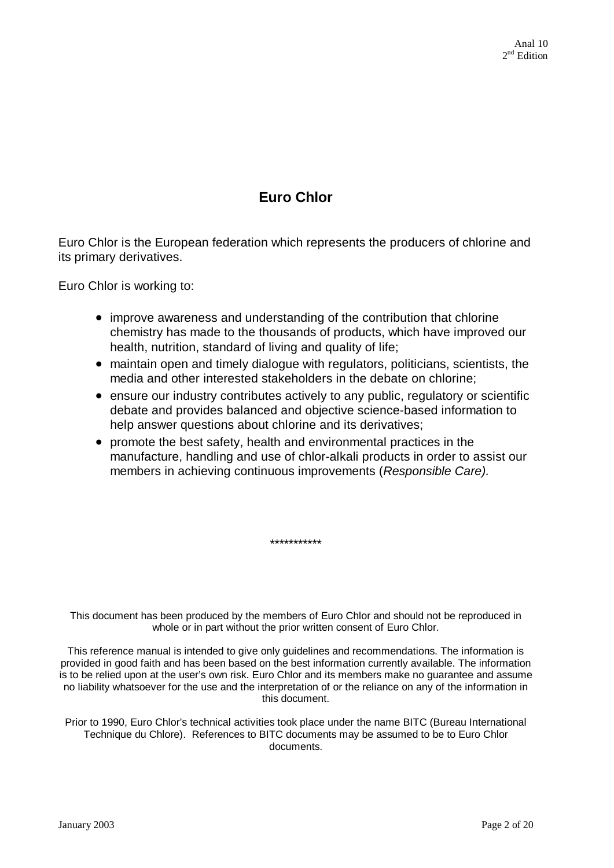# **Euro Chlor**

Euro Chlor is the European federation which represents the producers of chlorine and its primary derivatives.

Euro Chlor is working to:

- improve awareness and understanding of the contribution that chlorine chemistry has made to the thousands of products, which have improved our health, nutrition, standard of living and quality of life;
- maintain open and timely dialogue with regulators, politicians, scientists, the media and other interested stakeholders in the debate on chlorine;
- ensure our industry contributes actively to any public, regulatory or scientific debate and provides balanced and objective science-based information to help answer questions about chlorine and its derivatives:
- $\bullet$  promote the best safety, health and environmental practices in the manufacture, handling and use of chlor-alkali products in order to assist our members in achieving continuous improvements (*Responsible Care).*

\*\*\*\*\*\*\*\*\*\*\*

This document has been produced by the members of Euro Chlor and should not be reproduced in whole or in part without the prior written consent of Euro Chlor.

This reference manual is intended to give only guidelines and recommendations. The information is provided in good faith and has been based on the best information currently available. The information is to be relied upon at the user's own risk. Euro Chlor and its members make no guarantee and assume no liability whatsoever for the use and the interpretation of or the reliance on any of the information in this document.

Prior to 1990, Euro Chlor's technical activities took place under the name BITC (Bureau International Technique du Chlore). References to BITC documents may be assumed to be to Euro Chlor documents.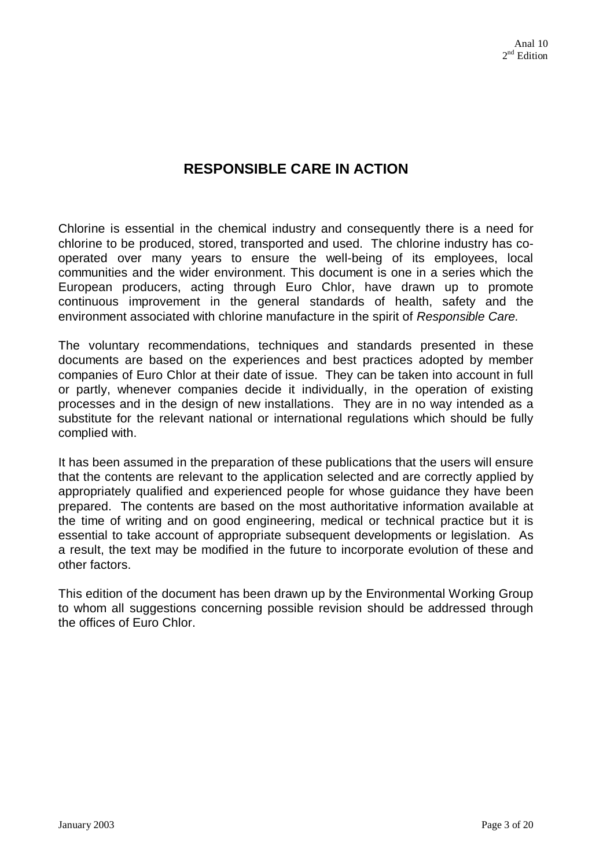# **RESPONSIBLE CARE IN ACTION**

Chlorine is essential in the chemical industry and consequently there is a need for chlorine to be produced, stored, transported and used. The chlorine industry has cooperated over many years to ensure the well-being of its employees, local communities and the wider environment. This document is one in a series which the European producers, acting through Euro Chlor, have drawn up to promote continuous improvement in the general standards of health, safety and the environment associated with chlorine manufacture in the spirit of *Responsible Care.*

The voluntary recommendations, techniques and standards presented in these documents are based on the experiences and best practices adopted by member companies of Euro Chlor at their date of issue. They can be taken into account in full or partly, whenever companies decide it individually, in the operation of existing processes and in the design of new installations. They are in no way intended as a substitute for the relevant national or international regulations which should be fully complied with.

It has been assumed in the preparation of these publications that the users will ensure that the contents are relevant to the application selected and are correctly applied by appropriately qualified and experienced people for whose guidance they have been prepared. The contents are based on the most authoritative information available at the time of writing and on good engineering, medical or technical practice but it is essential to take account of appropriate subsequent developments or legislation. As a result, the text may be modified in the future to incorporate evolution of these and other factors.

This edition of the document has been drawn up by the Environmental Working Group to whom all suggestions concerning possible revision should be addressed through the offices of Euro Chlor.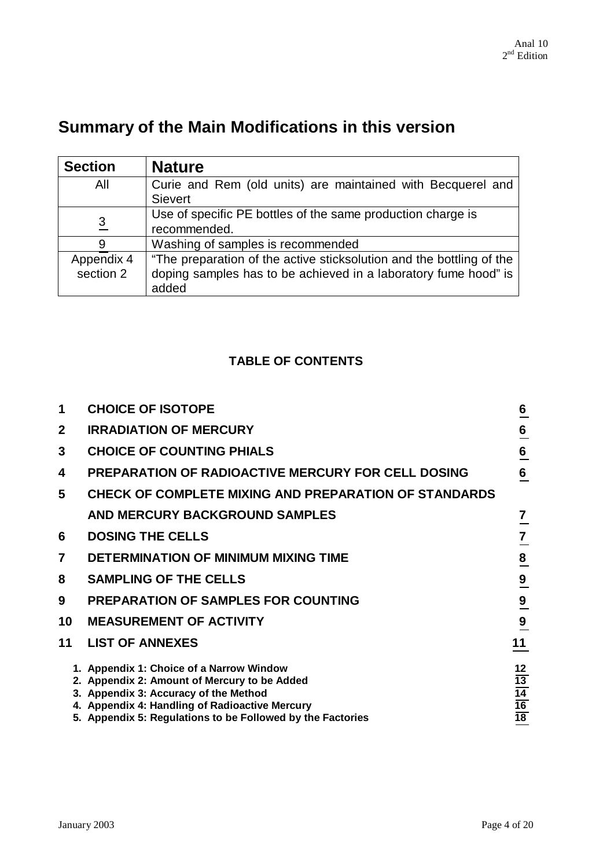# **Summary of the Main Modifications in this version**

| <b>Section</b> | <b>Nature</b>                                                        |
|----------------|----------------------------------------------------------------------|
| All            | Curie and Rem (old units) are maintained with Becquerel and          |
|                | <b>Sievert</b>                                                       |
| 3              | Use of specific PE bottles of the same production charge is          |
|                | recommended.                                                         |
| 9              | Washing of samples is recommended                                    |
| Appendix 4     | "The preparation of the active sticksolution and the bottling of the |
| section 2      | doping samples has to be achieved in a laboratory fume hood" is      |
|                | added                                                                |

## **TABLE OF CONTENTS**

| 1           | <b>CHOICE OF ISOTOPE</b>                                                                                                                                                                                                                          | 6                                                                              |
|-------------|---------------------------------------------------------------------------------------------------------------------------------------------------------------------------------------------------------------------------------------------------|--------------------------------------------------------------------------------|
| $\mathbf 2$ | <b>IRRADIATION OF MERCURY</b>                                                                                                                                                                                                                     | $6\phantom{a}$                                                                 |
| 3           | <b>CHOICE OF COUNTING PHIALS</b>                                                                                                                                                                                                                  | $6\phantom{a}$                                                                 |
| 4           | <b>PREPARATION OF RADIOACTIVE MERCURY FOR CELL DOSING</b>                                                                                                                                                                                         | $6\phantom{1}$                                                                 |
| 5           | CHECK OF COMPLETE MIXING AND PREPARATION OF STANDARDS                                                                                                                                                                                             |                                                                                |
|             | <b>AND MERCURY BACKGROUND SAMPLES</b>                                                                                                                                                                                                             | 7                                                                              |
| 6           | <b>DOSING THE CELLS</b>                                                                                                                                                                                                                           | 7                                                                              |
| 7           | <b>DETERMINATION OF MINIMUM MIXING TIME</b>                                                                                                                                                                                                       | $\overline{8}$                                                                 |
| 8           | <b>SAMPLING OF THE CELLS</b>                                                                                                                                                                                                                      | $\overline{9}$                                                                 |
| 9           | <b>PREPARATION OF SAMPLES FOR COUNTING</b>                                                                                                                                                                                                        | $\overline{9}$                                                                 |
| 10          | <b>MEASUREMENT OF ACTIVITY</b>                                                                                                                                                                                                                    | 9                                                                              |
| 11          | <b>LIST OF ANNEXES</b>                                                                                                                                                                                                                            | 11                                                                             |
|             | 1. Appendix 1: Choice of a Narrow Window<br>2. Appendix 2: Amount of Mercury to be Added<br>3. Appendix 3: Accuracy of the Method<br>4. Appendix 4: Handling of Radioactive Mercury<br>5. Appendix 5: Regulations to be Followed by the Factories | 12<br>$\overline{13}$<br>$\overline{14}$<br>$\overline{16}$<br>$\overline{18}$ |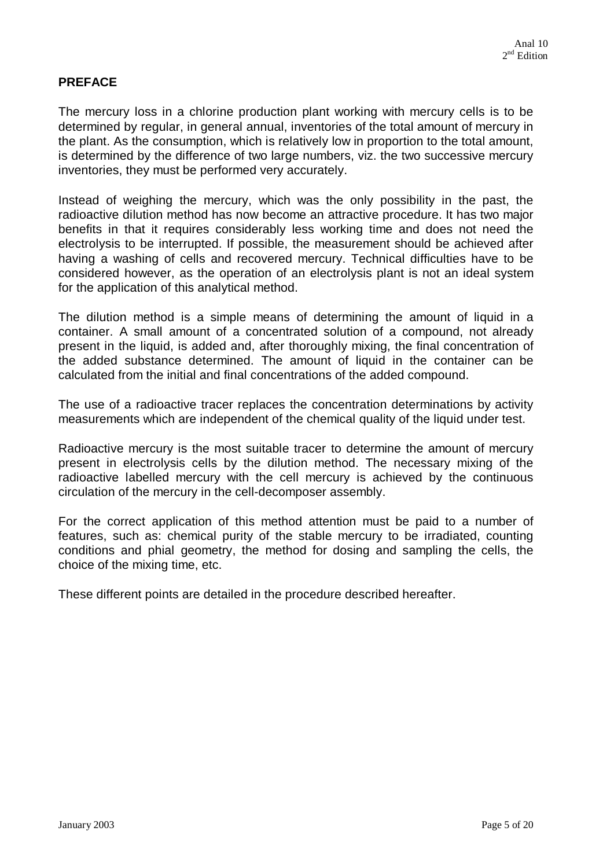#### **PREFACE**

The mercury loss in a chlorine production plant working with mercury cells is to be determined by regular, in general annual, inventories of the total amount of mercury in the plant. As the consumption, which is relatively low in proportion to the total amount, is determined by the difference of two large numbers, viz. the two successive mercury inventories, they must be performed very accurately.

Instead of weighing the mercury, which was the only possibility in the past, the radioactive dilution method has now become an attractive procedure. It has two major benefits in that it requires considerably less working time and does not need the electrolysis to be interrupted. If possible, the measurement should be achieved after having a washing of cells and recovered mercury. Technical difficulties have to be considered however, as the operation of an electrolysis plant is not an ideal system for the application of this analytical method.

The dilution method is a simple means of determining the amount of liquid in a container. A small amount of a concentrated solution of a compound, not already present in the liquid, is added and, after thoroughly mixing, the final concentration of the added substance determined. The amount of liquid in the container can be calculated from the initial and final concentrations of the added compound.

The use of a radioactive tracer replaces the concentration determinations by activity measurements which are independent of the chemical quality of the liquid under test.

Radioactive mercury is the most suitable tracer to determine the amount of mercury present in electrolysis cells by the dilution method. The necessary mixing of the radioactive labelled mercury with the cell mercury is achieved by the continuous circulation of the mercury in the cell-decomposer assembly.

For the correct application of this method attention must be paid to a number of features, such as: chemical purity of the stable mercury to be irradiated, counting conditions and phial geometry, the method for dosing and sampling the cells, the choice of the mixing time, etc.

These different points are detailed in the procedure described hereafter.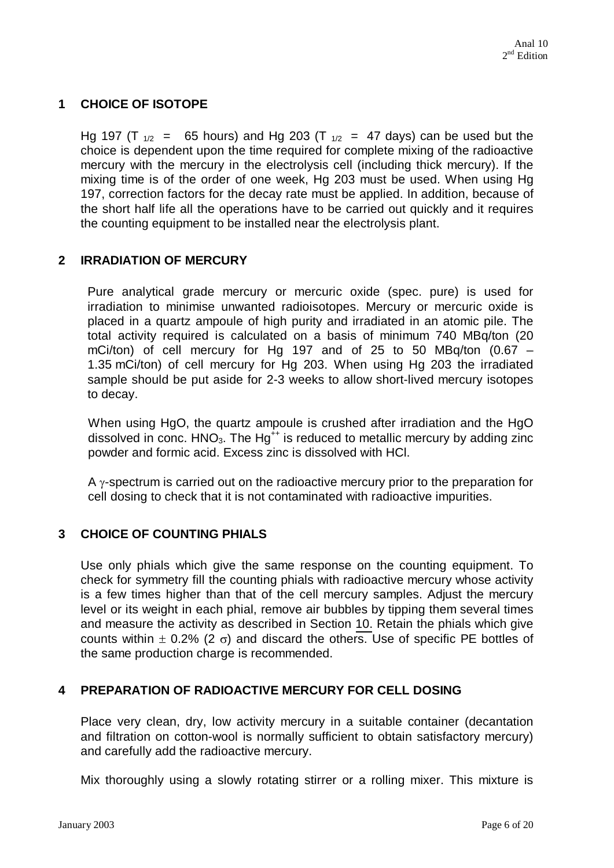#### <span id="page-5-1"></span>**1 CHOICE OF ISOTOPE**

Hg 197 (T  $_{1/2}$  = 65 hours) and Hg 203 (T  $_{1/2}$  = 47 days) can be used but the choice is dependent upon the time required for complete mixing of the radioactive mercury with the mercury in the electrolysis cell (including thick mercury). If the mixing time is of the order of one week, Hg 203 must be used. When using Hg 197, correction factors for the decay rate must be applied. In addition, because of the short half life all the operations have to be carried out quickly and it requires the counting equipment to be installed near the electrolysis plant.

#### <span id="page-5-2"></span>**2 IRRADIATION OF MERCURY**

Pure analytical grade mercury or mercuric oxide (spec. pure) is used for irradiation to minimise unwanted radioisotopes. Mercury or mercuric oxide is placed in a quartz ampoule of high purity and irradiated in an atomic pile. The total activity required is calculated on a basis of minimum 740 MBq/ton (20 mCi/ton) of cell mercury for Hg 197 and of 25 to 50 MBq/ton (0.67 – 1.35 mCi/ton) of cell mercury for Hg 203. When using Hg 203 the irradiated sample should be put aside for 2-3 weeks to allow short-lived mercury isotopes to decay.

When using HgO, the quartz ampoule is crushed after irradiation and the HgO dissolved in conc.  $HNO<sub>3</sub>$ . The Hg<sup>++</sup> is reduced to metallic mercury by adding zinc powder and formic acid. Excess zinc is dissolved with HCl.

A  $\gamma$ -spectrum is carried out on the radioactive mercury prior to the preparation for cell dosing to check that it is not contaminated with radioactive impurities.

#### <span id="page-5-0"></span>**3 CHOICE OF COUNTING PHIALS**

Use only phials which give the same response on the counting equipment. To check for symmetry fill the counting phials with radioactive mercury whose activity is a few times higher than that of the cell mercury samples. Adjust the mercury level or its weight in each phial, remove air bubbles by tipping them several times and measure the activity as described in Section [10.](#page-8-2) Retain the phials which give counts within  $\pm$  0.2% (2  $\sigma$ ) and discard the others. Use of specific PE bottles of the same production charge is recommended.

#### <span id="page-5-3"></span>**4 PREPARATION OF RADIOACTIVE MERCURY FOR CELL DOSING**

Place very clean, dry, low activity mercury in a suitable container (decantation and filtration on cotton-wool is normally sufficient to obtain satisfactory mercury) and carefully add the radioactive mercury.

Mix thoroughly using a slowly rotating stirrer or a rolling mixer. This mixture is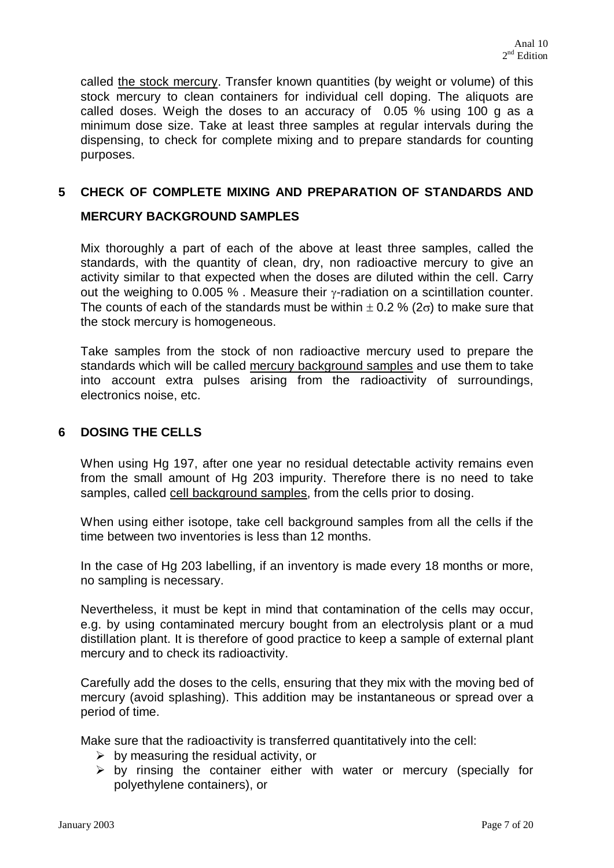called the stock mercury. Transfer known quantities (by weight or volume) of this stock mercury to clean containers for individual cell doping. The aliquots are called doses. Weigh the doses to an accuracy of 0.05 % using 100 g as a minimum dose size. Take at least three samples at regular intervals during the dispensing, to check for complete mixing and to prepare standards for counting purposes.

#### <span id="page-6-0"></span>**5 CHECK OF COMPLETE MIXING AND PREPARATION OF STANDARDS AND**

#### **MERCURY BACKGROUND SAMPLES**

Mix thoroughly a part of each of the above at least three samples, called the standards, with the quantity of clean, dry, non radioactive mercury to give an activity similar to that expected when the doses are diluted within the cell. Carry out the weighing to 0.005 %. Measure their  $\gamma$ -radiation on a scintillation counter. The counts of each of the standards must be within  $\pm$  0.2 % (2 $\sigma$ ) to make sure that the stock mercury is homogeneous.

Take samples from the stock of non radioactive mercury used to prepare the standards which will be called mercury background samples and use them to take into account extra pulses arising from the radioactivity of surroundings, electronics noise, etc.

#### <span id="page-6-1"></span>**6 DOSING THE CELLS**

When using Hg 197, after one year no residual detectable activity remains even from the small amount of Hg 203 impurity. Therefore there is no need to take samples, called cell background samples, from the cells prior to dosing.

When using either isotope, take cell background samples from all the cells if the time between two inventories is less than 12 months.

In the case of Hg 203 labelling, if an inventory is made every 18 months or more, no sampling is necessary.

Nevertheless, it must be kept in mind that contamination of the cells may occur, e.g. by using contaminated mercury bought from an electrolysis plant or a mud distillation plant. It is therefore of good practice to keep a sample of external plant mercury and to check its radioactivity.

Carefully add the doses to the cells, ensuring that they mix with the moving bed of mercury (avoid splashing). This addition may be instantaneous or spread over a period of time.

Make sure that the radioactivity is transferred quantitatively into the cell:

- $\triangleright$  by measuring the residual activity, or
- $\triangleright$  by rinsing the container either with water or mercury (specially for polyethylene containers), or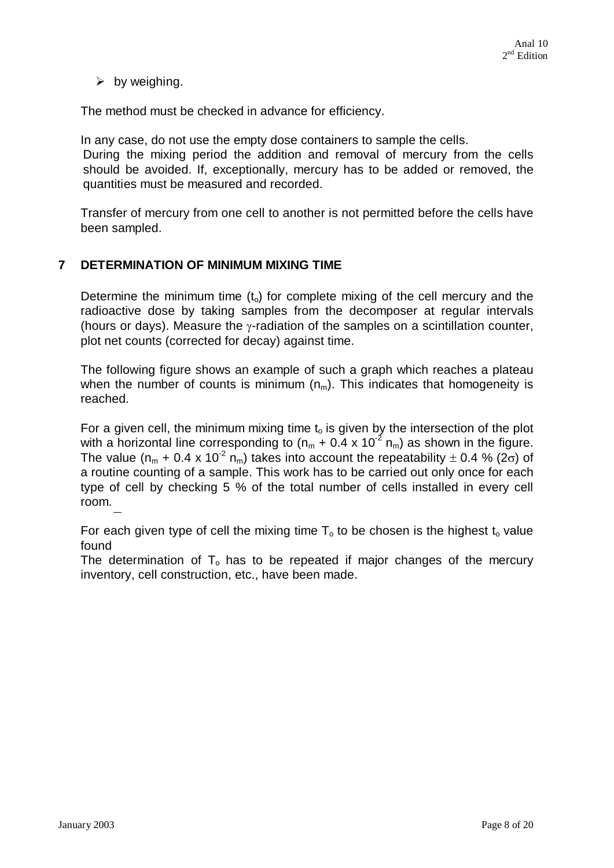$\triangleright$  by weighing.

The method must be checked in advance for efficiency.

In any case, do not use the empty dose containers to sample the cells. During the mixing period the addition and removal of mercury from the cells should be avoided. If, exceptionally, mercury has to be added or removed, the quantities must be measured and recorded.

Transfer of mercury from one cell to another is not permitted before the cells have been sampled.

#### <span id="page-7-0"></span>**7 DETERMINATION OF MINIMUM MIXING TIME**

Determine the minimum time  $(t_0)$  for complete mixing of the cell mercury and the radioactive dose by taking samples from the decomposer at regular intervals (hours or days). Measure the  $\gamma$ -radiation of the samples on a scintillation counter, plot net counts (corrected for decay) against time.

The following figure shows an example of such a graph which reaches a plateau when the number of counts is minimum  $(n_m)$ . This indicates that homogeneity is reached.

For a given cell, the minimum mixing time  $t_0$  is given by the intersection of the plot with a horizontal line corresponding to  $(n_m + 0.4 \times 10^{-2} n_m)$  as shown in the figure. The value ( $n_m + 0.4 \times 10^{-2}$   $n_m$ ) takes into account the repeatability  $\pm$  0.4 % ( $2\sigma$ ) of a routine counting of a sample. This work has to be carried out only once for each type of cell by checking 5 % of the total number of cells installed in every cell room.

For each given type of cell the mixing time  $T_0$  to be chosen is the highest t<sub>o</sub> value found

The determination of  $T_0$  has to be repeated if major changes of the mercury inventory, cell construction, etc., have been made.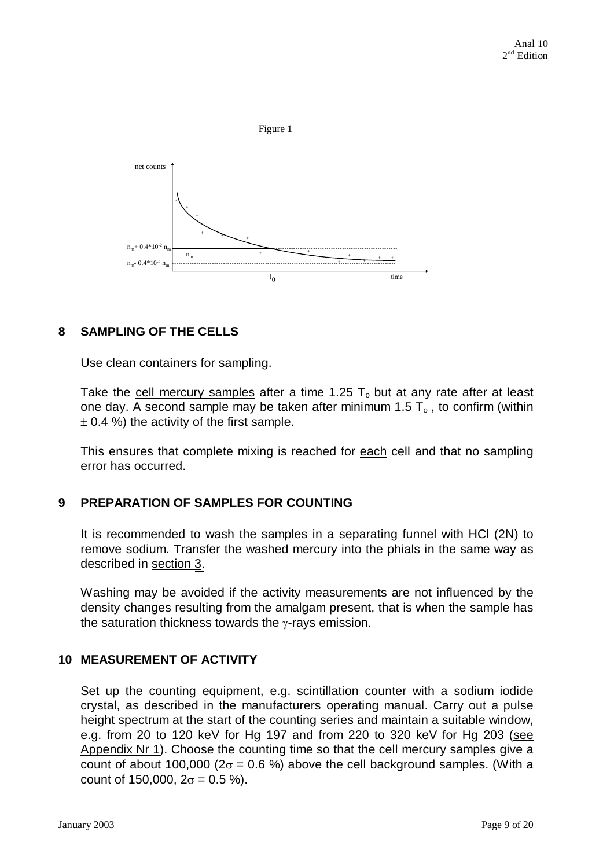

#### <span id="page-8-1"></span>**8 SAMPLING OF THE CELLS**

Use clean containers for sampling.

Take the cell mercury samples after a time 1.25  $T_0$  but at any rate after at least one day. A second sample may be taken after minimum 1.5  $T<sub>o</sub>$ , to confirm (within  $\pm$  0.4 %) the activity of the first sample.

This ensures that complete mixing is reached for each cell and that no sampling error has occurred.

#### <span id="page-8-0"></span>**9 PREPARATION OF SAMPLES FOR COUNTING**

It is recommended to wash the samples in a separating funnel with HCl (2N) to remove sodium. Transfer the washed mercury into the phials in the same way as described in section [3.](#page-5-0)

Washing may be avoided if the activity measurements are not influenced by the density changes resulting from the amalgam present, that is when the sample has the saturation thickness towards the  $\gamma$ -rays emission.

#### <span id="page-8-2"></span>**10 MEASUREMENT OF ACTIVITY**

Set up the counting equipment, e.g. scintillation counter with a sodium iodide crystal, as described in the manufacturers operating manual. Carry out a pulse height spectrum at the start of the counting series and maintain a suitable window, e.g. from 20 to 120 keV for Hg 197 and from 220 to 320 keV for Hg 203 (see Appendix Nr 1). Choose the counting time so that the cell mercury samples give a count of about 100,000 ( $2\sigma$  = 0.6 %) above the cell background samples. (With a count of 150,000,  $2\sigma = 0.5$  %).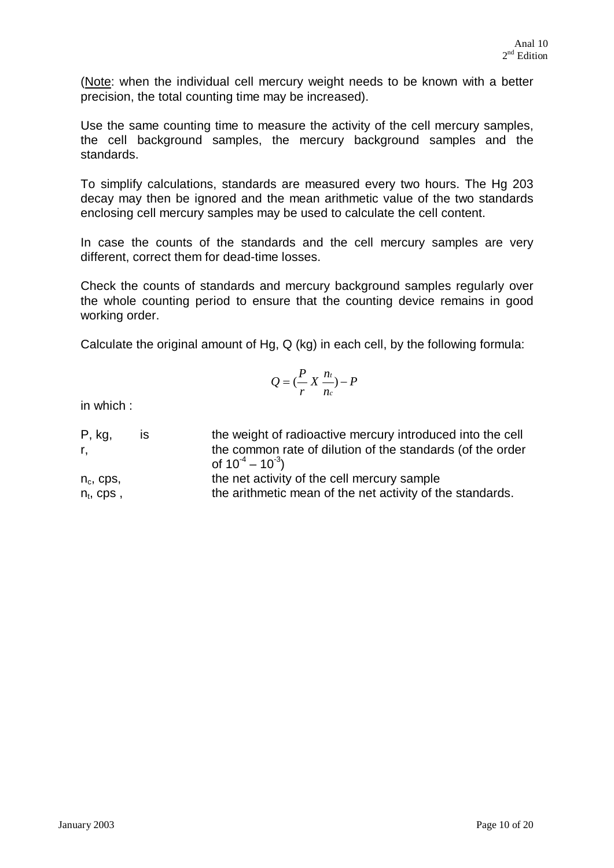(Note: when the individual cell mercury weight needs to be known with a better precision, the total counting time may be increased).

Use the same counting time to measure the activity of the cell mercury samples, the cell background samples, the mercury background samples and the standards.

To simplify calculations, standards are measured every two hours. The Hg 203 decay may then be ignored and the mean arithmetic value of the two standards enclosing cell mercury samples may be used to calculate the cell content.

In case the counts of the standards and the cell mercury samples are very different, correct them for dead-time losses.

Check the counts of standards and mercury background samples regularly over the whole counting period to ensure that the counting device remains in good working order.

Calculate the original amount of Hg, Q (kg) in each cell, by the following formula:

$$
Q = (\frac{P}{r} X \frac{n_t}{n_c}) - P
$$

in which :

| P, kq,       | IS | the weight of radioactive mercury introduced into the cell                             |
|--------------|----|----------------------------------------------------------------------------------------|
| r,           |    | the common rate of dilution of the standards (of the order<br>of $10^{-4} - 10^{-3}$ ) |
| $n_c$ , CDS, |    | the net activity of the cell mercury sample                                            |
| $n_t$ , cps, |    | the arithmetic mean of the net activity of the standards.                              |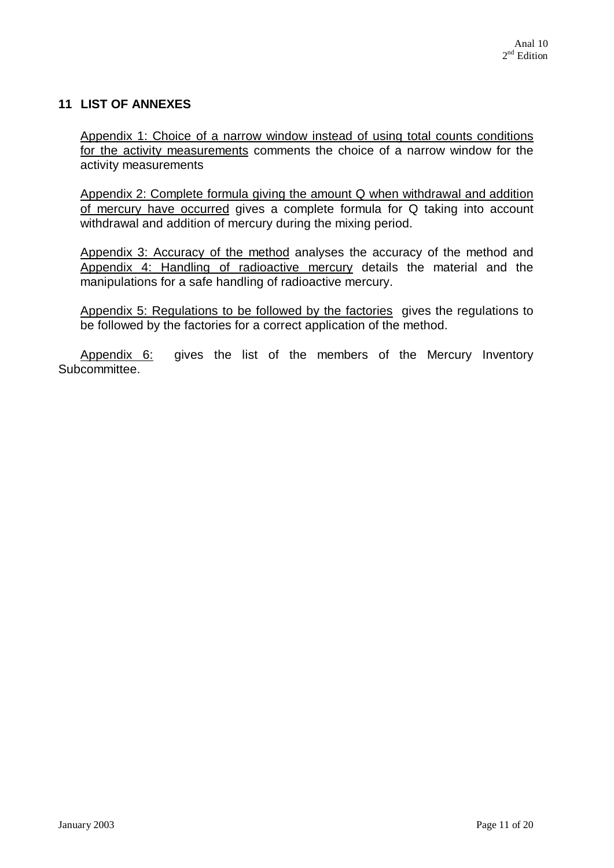#### <span id="page-10-0"></span>**11 LIST OF ANNEXES**

Appendix 1: Choice of a narrow window instead of using total counts conditions for the activity measurements comments the choice of a narrow window for the activity measurements

Appendix 2: Complete formula giving the amount Q when withdrawal and addition of mercury have occurred gives a complete formula for Q taking into account withdrawal and addition of mercury during the mixing period.

Appendix 3: Accuracy of the method analyses the accuracy of the method and Appendix 4: Handling of radioactive mercury details the material and the manipulations for a safe handling of radioactive mercury.

Appendix 5: Regulations to be followed by the factories gives the regulations to be followed by the factories for a correct application of the method.

 Appendix 6: gives the list of the members of the Mercury Inventory Subcommittee.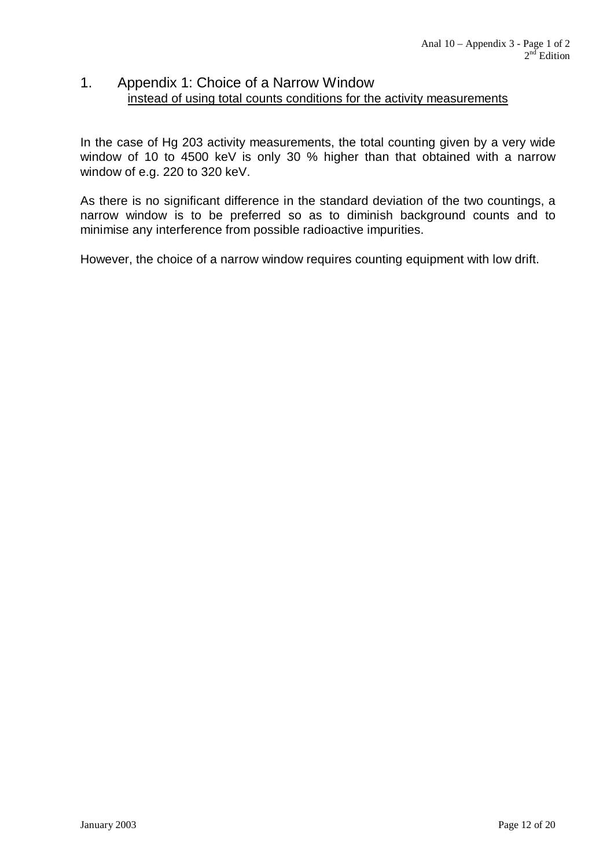#### <span id="page-11-0"></span>1. Appendix 1: Choice of a Narrow Window instead of using total counts conditions for the activity measurements

In the case of Hg 203 activity measurements, the total counting given by a very wide window of 10 to 4500 keV is only 30 % higher than that obtained with a narrow window of e.g. 220 to 320 keV.

As there is no significant difference in the standard deviation of the two countings, a narrow window is to be preferred so as to diminish background counts and to minimise any interference from possible radioactive impurities.

However, the choice of a narrow window requires counting equipment with low drift.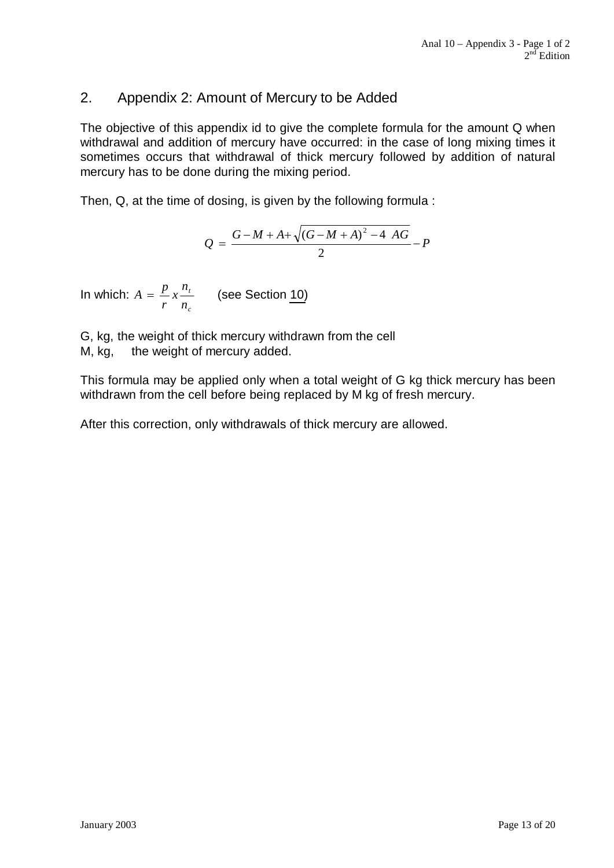## <span id="page-12-0"></span>2. Appendix 2: Amount of Mercury to be Added

The objective of this appendix id to give the complete formula for the amount Q when withdrawal and addition of mercury have occurred: in the case of long mixing times it sometimes occurs that withdrawal of thick mercury followed by addition of natural mercury has to be done during the mixing period.

Then, Q, at the time of dosing, is given by the following formula :

$$
Q = \frac{G - M + A + \sqrt{(G - M + A)^2 - 4 \cdot AG}}{2} - P
$$

In which: *c t n n x r*  $A = \frac{p}{x} \frac{n_t}{y}$  (see Section [10\)](#page-8-2)

G, kg, the weight of thick mercury withdrawn from the cell M, kg, the weight of mercury added.

This formula may be applied only when a total weight of G kg thick mercury has been withdrawn from the cell before being replaced by M kg of fresh mercury.

After this correction, only withdrawals of thick mercury are allowed.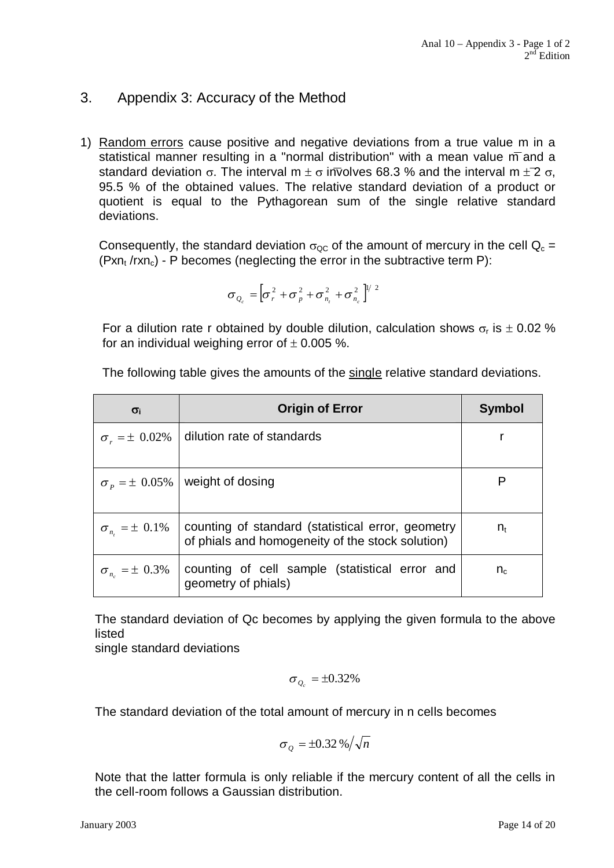## <span id="page-13-0"></span>3. Appendix 3: Accuracy of the Method

1) Random errors cause positive and negative deviations from a true value m in a statistical manner resulting in a "normal distribution" with a mean value  $\overline{m}$  and a standard deviation  $\sigma$ . The interval m  $\pm \sigma$  involves 68.3 % and the interval m  $\pm 2 \sigma$ , 95.5 % of the obtained values. The relative standard deviation of a product or quotient is equal to the Pythagorean sum of the single relative standard deviations.

Consequently, the standard deviation  $\sigma_{\text{OC}}$  of the amount of mercury in the cell  $Q_c =$  $(Pxn_t / rxn_c)$  - P becomes (neglecting the error in the subtractive term P):

$$
\sigma_{Q_c} = \left[\sigma_r^2 + \sigma_p^2 + \sigma_{n_t}^2 + \sigma_{n_c}^2\right]^{1/2}
$$

For a dilution rate r obtained by double dilution, calculation shows  $\sigma_r$  is  $\pm$  0.02 % for an individual weighing error of  $\pm$  0.005 %.

The following table gives the amounts of the single relative standard deviations.

| $\sigma_i$                 | <b>Origin of Error</b>                                                                                                           | <b>Symbol</b> |
|----------------------------|----------------------------------------------------------------------------------------------------------------------------------|---------------|
|                            | $\sigma_r = \pm 0.02\%$   dilution rate of standards                                                                             |               |
|                            | $\sigma_{P} = \pm 0.05\%$   weight of dosing                                                                                     | Р             |
|                            | $\sigma_{n_t} = \pm 0.1\%$ counting of standard (statistical error, geometry<br>of phials and homogeneity of the stock solution) | $n_{t}$       |
| $\sigma_{n_c} = \pm 0.3\%$ | counting of cell sample (statistical error and<br>geometry of phials)                                                            | $n_{\rm c}$   |

The standard deviation of Qc becomes by applying the given formula to the above listed

single standard deviations

$$
\sigma_{\varrho_{c}}=\pm 0.32\%
$$

The standard deviation of the total amount of mercury in n cells becomes

$$
\sigma_Q = \pm 0.32\,\% / \sqrt{n}
$$

Note that the latter formula is only reliable if the mercury content of all the cells in the cell-room follows a Gaussian distribution.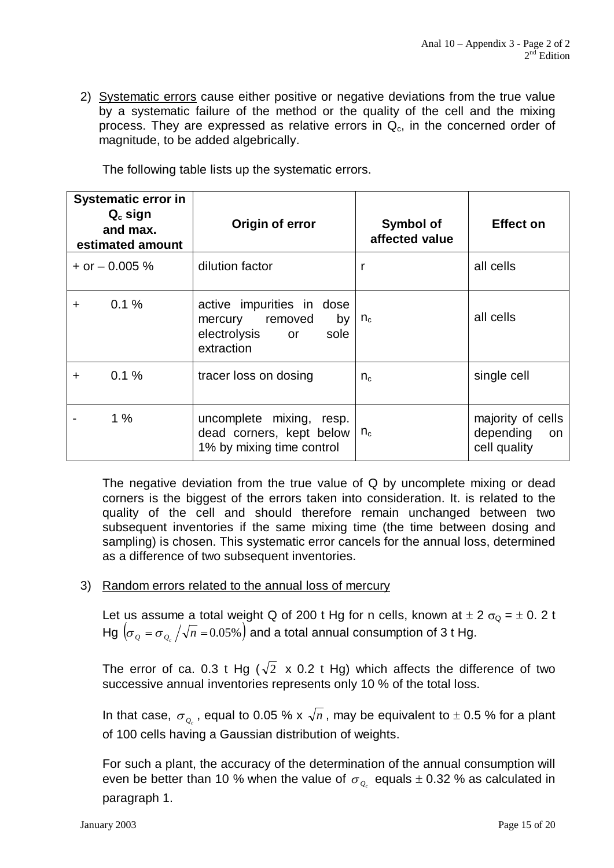2) Systematic errors cause either positive or negative deviations from the true value by a systematic failure of the method or the quality of the cell and the mixing process. They are expressed as relative errors in  $Q<sub>c</sub>$ , in the concerned order of magnitude, to be added algebrically.

| <b>Systematic error in</b><br>$Q_c$ sign<br>and max.<br>estimated amount | Origin of error                                                                             | Symbol of<br>affected value | <b>Effect on</b>                                     |
|--------------------------------------------------------------------------|---------------------------------------------------------------------------------------------|-----------------------------|------------------------------------------------------|
| $+$ or $-$ 0.005 %                                                       | dilution factor                                                                             | r                           | all cells                                            |
| $0.1 \%$<br>$\ddot{}$                                                    | active impurities in dose<br>mercury removed<br>by<br>electrolysis or<br>sole<br>extraction | $n_c$                       | all cells                                            |
| 0.1%<br>$\ddot{}$                                                        | tracer loss on dosing                                                                       | $n_c$                       | single cell                                          |
| 1%                                                                       | uncomplete mixing, resp.<br>dead corners, kept below<br>1% by mixing time control           | $n_c$                       | majority of cells<br>depending<br>on<br>cell quality |

The following table lists up the systematic errors.

The negative deviation from the true value of Q by uncomplete mixing or dead corners is the biggest of the errors taken into consideration. It. is related to the quality of the cell and should therefore remain unchanged between two subsequent inventories if the same mixing time (the time between dosing and sampling) is chosen. This systematic error cancels for the annual loss, determined as a difference of two subsequent inventories.

#### 3) Random errors related to the annual loss of mercury

Let us assume a total weight Q of 200 t Hg for n cells, known at  $\pm 2 \sigma_Q = \pm 0.2$  t Hg  $\left(\sigma_{\varrho}=\sigma_{\varrho_{c}}\left/\sqrt{n}\right.=0.05\%\right)$  and a total annual consumption of 3 t Hg.

The error of ca. 0.3 t Hg ( $\sqrt{2}$  x 0.2 t Hg) which affects the difference of two successive annual inventories represents only 10 % of the total loss.

In that case,  $\, \sigma_{\varrho_{c}}$  , equal to 0.05 % x  $\sqrt{n}$  , may be equivalent to  $\pm$  0.5 % for a plant of 100 cells having a Gaussian distribution of weights.

For such a plant, the accuracy of the determination of the annual consumption will even be better than 10 % when the value of  $\, \sigma_{\varrho_{c}} \,$  equals  $\pm$  0.32 % as calculated in paragraph 1.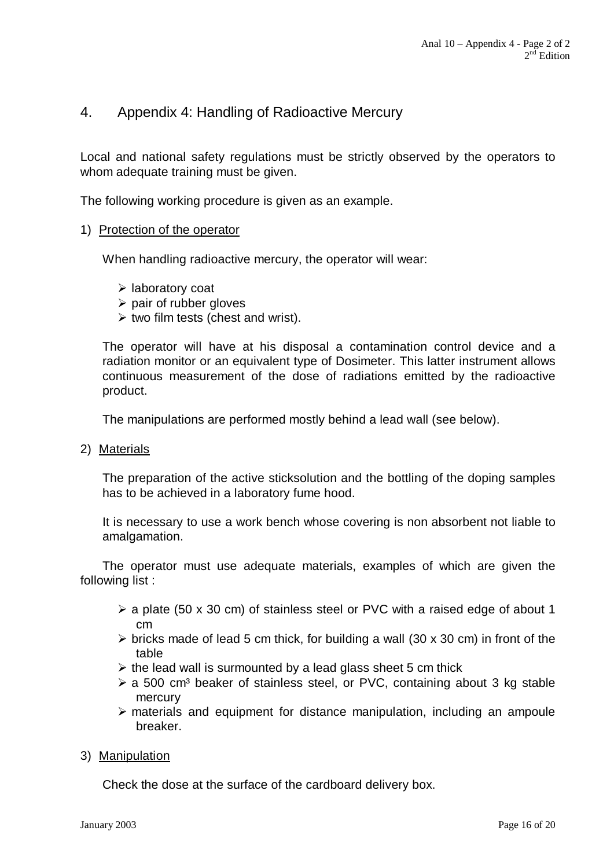## <span id="page-15-0"></span>4. Appendix 4: Handling of Radioactive Mercury

Local and national safety regulations must be strictly observed by the operators to whom adequate training must be given.

The following working procedure is given as an example.

#### 1) Protection of the operator

When handling radioactive mercury, the operator will wear:

- $\triangleright$  laboratory coat
- $\triangleright$  pair of rubber gloves
- $\triangleright$  two film tests (chest and wrist).

The operator will have at his disposal a contamination control device and a radiation monitor or an equivalent type of Dosimeter. This latter instrument allows continuous measurement of the dose of radiations emitted by the radioactive product.

The manipulations are performed mostly behind a lead wall (see below).

2) Materials

The preparation of the active sticksolution and the bottling of the doping samples has to be achieved in a laboratory fume hood.

It is necessary to use a work bench whose covering is non absorbent not liable to amalgamation.

The operator must use adequate materials, examples of which are given the following list :

- $\ge$  a plate (50 x 30 cm) of stainless steel or PVC with a raised edge of about 1 cm
- $\triangleright$  bricks made of lead 5 cm thick, for building a wall (30 x 30 cm) in front of the table
- $\triangleright$  the lead wall is surmounted by a lead glass sheet 5 cm thick
- ▶ a 500 cm<sup>3</sup> beaker of stainless steel, or PVC, containing about 3 kg stable mercury
- $\triangleright$  materials and equipment for distance manipulation, including an ampoule breaker.

#### 3) Manipulation

Check the dose at the surface of the cardboard delivery box.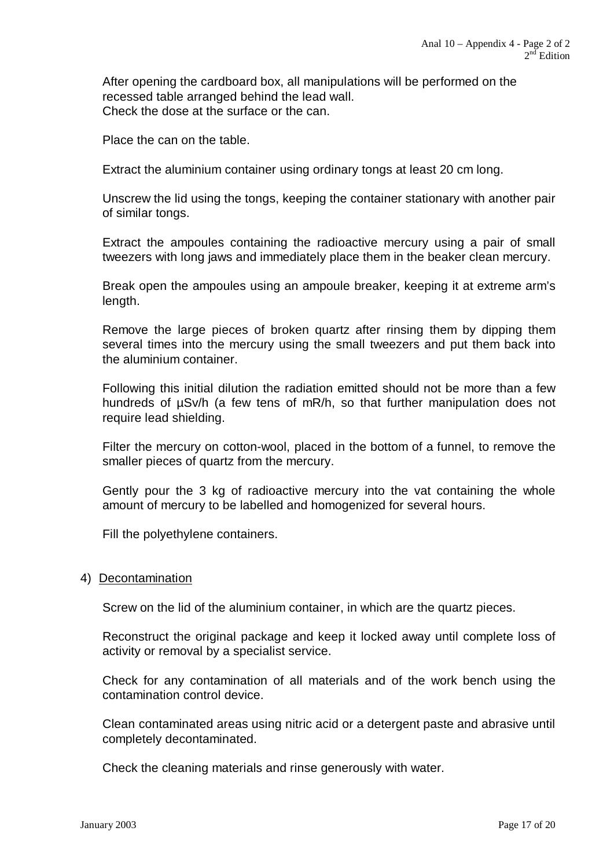After opening the cardboard box, all manipulations will be performed on the recessed table arranged behind the lead wall. Check the dose at the surface or the can.

Place the can on the table.

Extract the aluminium container using ordinary tongs at least 20 cm long.

Unscrew the lid using the tongs, keeping the container stationary with another pair of similar tongs.

Extract the ampoules containing the radioactive mercury using a pair of small tweezers with long jaws and immediately place them in the beaker clean mercury.

Break open the ampoules using an ampoule breaker, keeping it at extreme arm's length.

Remove the large pieces of broken quartz after rinsing them by dipping them several times into the mercury using the small tweezers and put them back into the aluminium container.

Following this initial dilution the radiation emitted should not be more than a few hundreds of µSv/h (a few tens of mR/h, so that further manipulation does not require lead shielding.

Filter the mercury on cotton-wool, placed in the bottom of a funnel, to remove the smaller pieces of quartz from the mercury.

Gently pour the 3 kg of radioactive mercury into the vat containing the whole amount of mercury to be labelled and homogenized for several hours.

Fill the polyethylene containers.

#### 4) Decontamination

Screw on the lid of the aluminium container, in which are the quartz pieces.

Reconstruct the original package and keep it locked away until complete loss of activity or removal by a specialist service.

Check for any contamination of all materials and of the work bench using the contamination control device.

Clean contaminated areas using nitric acid or a detergent paste and abrasive until completely decontaminated.

Check the cleaning materials and rinse generously with water.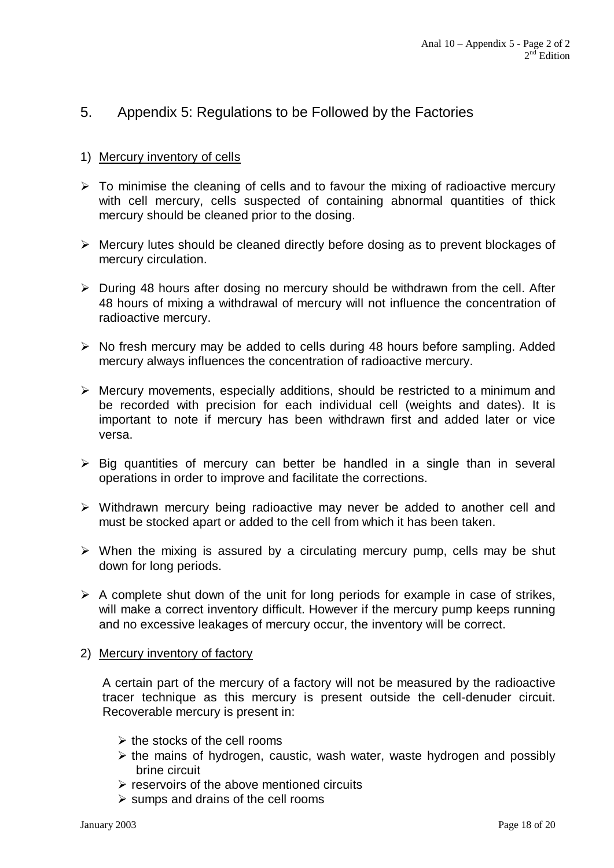## <span id="page-17-0"></span>5. Appendix 5: Regulations to be Followed by the Factories

#### 1) Mercury inventory of cells

- $\triangleright$  To minimise the cleaning of cells and to favour the mixing of radioactive mercury with cell mercury, cells suspected of containing abnormal quantities of thick mercury should be cleaned prior to the dosing.
- ¾ Mercury lutes should be cleaned directly before dosing as to prevent blockages of mercury circulation.
- $\triangleright$  During 48 hours after dosing no mercury should be withdrawn from the cell. After 48 hours of mixing a withdrawal of mercury will not influence the concentration of radioactive mercury.
- $\triangleright$  No fresh mercury may be added to cells during 48 hours before sampling. Added mercury always influences the concentration of radioactive mercury.
- $\triangleright$  Mercury movements, especially additions, should be restricted to a minimum and be recorded with precision for each individual cell (weights and dates). It is important to note if mercury has been withdrawn first and added later or vice versa.
- $\triangleright$  Big quantities of mercury can better be handled in a single than in several operations in order to improve and facilitate the corrections.
- $\triangleright$  Withdrawn mercury being radioactive may never be added to another cell and must be stocked apart or added to the cell from which it has been taken.
- $\triangleright$  When the mixing is assured by a circulating mercury pump, cells may be shut down for long periods.
- $\triangleright$  A complete shut down of the unit for long periods for example in case of strikes, will make a correct inventory difficult. However if the mercury pump keeps running and no excessive leakages of mercury occur, the inventory will be correct.

#### 2) Mercury inventory of factory

A certain part of the mercury of a factory will not be measured by the radioactive tracer technique as this mercury is present outside the cell-denuder circuit. Recoverable mercury is present in:

- $\triangleright$  the stocks of the cell rooms
- ¾ the mains of hydrogen, caustic, wash water, waste hydrogen and possibly brine circuit
- $\triangleright$  reservoirs of the above mentioned circuits
- $\triangleright$  sumps and drains of the cell rooms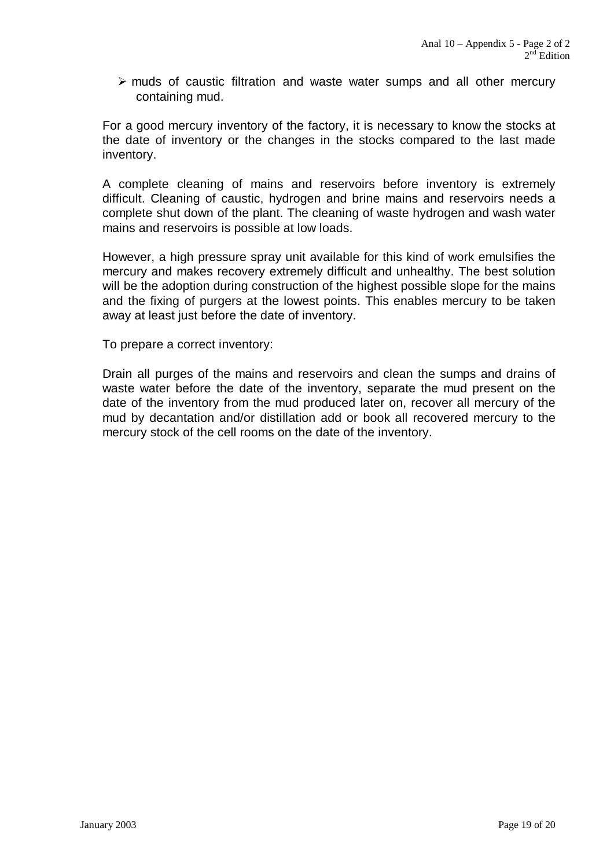$\triangleright$  muds of caustic filtration and waste water sumps and all other mercury containing mud.

For a good mercury inventory of the factory, it is necessary to know the stocks at the date of inventory or the changes in the stocks compared to the last made inventory.

A complete cleaning of mains and reservoirs before inventory is extremely difficult. Cleaning of caustic, hydrogen and brine mains and reservoirs needs a complete shut down of the plant. The cleaning of waste hydrogen and wash water mains and reservoirs is possible at low loads.

However, a high pressure spray unit available for this kind of work emulsifies the mercury and makes recovery extremely difficult and unhealthy. The best solution will be the adoption during construction of the highest possible slope for the mains and the fixing of purgers at the lowest points. This enables mercury to be taken away at least just before the date of inventory.

To prepare a correct inventory:

Drain all purges of the mains and reservoirs and clean the sumps and drains of waste water before the date of the inventory, separate the mud present on the date of the inventory from the mud produced later on, recover all mercury of the mud by decantation and/or distillation add or book all recovered mercury to the mercury stock of the cell rooms on the date of the inventory.